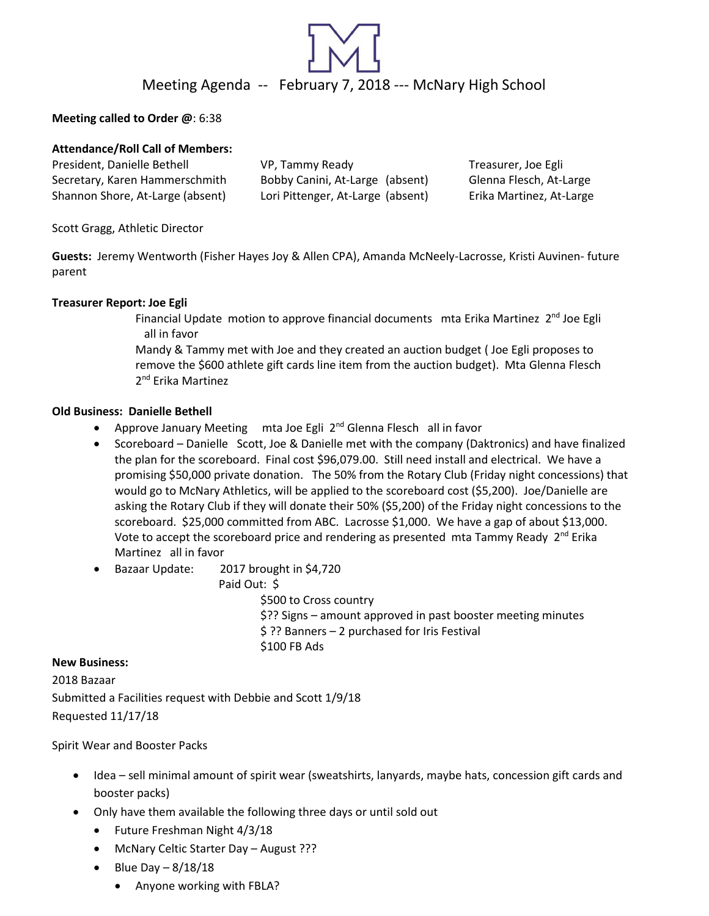

## **Meeting called to Order @**: 6:38

# **Attendance/Roll Call of Members:**

| President, Danielle Bethell      | VP, Tammy Ready                   | Treasurer, Joe Egli      |
|----------------------------------|-----------------------------------|--------------------------|
| Secretary, Karen Hammerschmith   | Bobby Canini, At-Large (absent)   | Glenna Flesch, At-Large  |
| Shannon Shore, At-Large (absent) | Lori Pittenger, At-Large (absent) | Erika Martinez, At-Large |

Scott Gragg, Athletic Director

**Guests:** Jeremy Wentworth (Fisher Hayes Joy & Allen CPA), Amanda McNeely-Lacrosse, Kristi Auvinen- future parent

### **Treasurer Report: Joe Egli**

Financial Update motion to approve financial documents mta Erika Martinez 2<sup>nd</sup> Joe Egli all in favor

Mandy & Tammy met with Joe and they created an auction budget ( Joe Egli proposes to remove the \$600 athlete gift cards line item from the auction budget). Mta Glenna Flesch 2<sup>nd</sup> Erika Martinez

### **Old Business: Danielle Bethell**

- Approve January Meeting mta Joe Egli 2<sup>nd</sup> Glenna Flesch all in favor
- Scoreboard Danielle Scott, Joe & Danielle met with the company (Daktronics) and have finalized the plan for the scoreboard. Final cost \$96,079.00. Still need install and electrical. We have a promising \$50,000 private donation. The 50% from the Rotary Club (Friday night concessions) that would go to McNary Athletics, will be applied to the scoreboard cost (\$5,200). Joe/Danielle are asking the Rotary Club if they will donate their 50% (\$5,200) of the Friday night concessions to the scoreboard. \$25,000 committed from ABC. Lacrosse \$1,000. We have a gap of about \$13,000. Vote to accept the scoreboard price and rendering as presented mta Tammy Ready 2<sup>nd</sup> Erika Martinez all in favor
- Bazaar Update: 2017 brought in \$4,720

Paid Out: \$

\$500 to Cross country \$?? Signs – amount approved in past booster meeting minutes \$ ?? Banners – 2 purchased for Iris Festival \$100 FB Ads

### **New Business:**

2018 Bazaar Submitted a Facilities request with Debbie and Scott 1/9/18 Requested 11/17/18

Spirit Wear and Booster Packs

- Idea sell minimal amount of spirit wear (sweatshirts, lanyards, maybe hats, concession gift cards and booster packs)
- Only have them available the following three days or until sold out
	- Future Freshman Night 4/3/18
	- McNary Celtic Starter Day August ???
	- Blue Day  $-8/18/18$ 
		- Anyone working with FBLA?